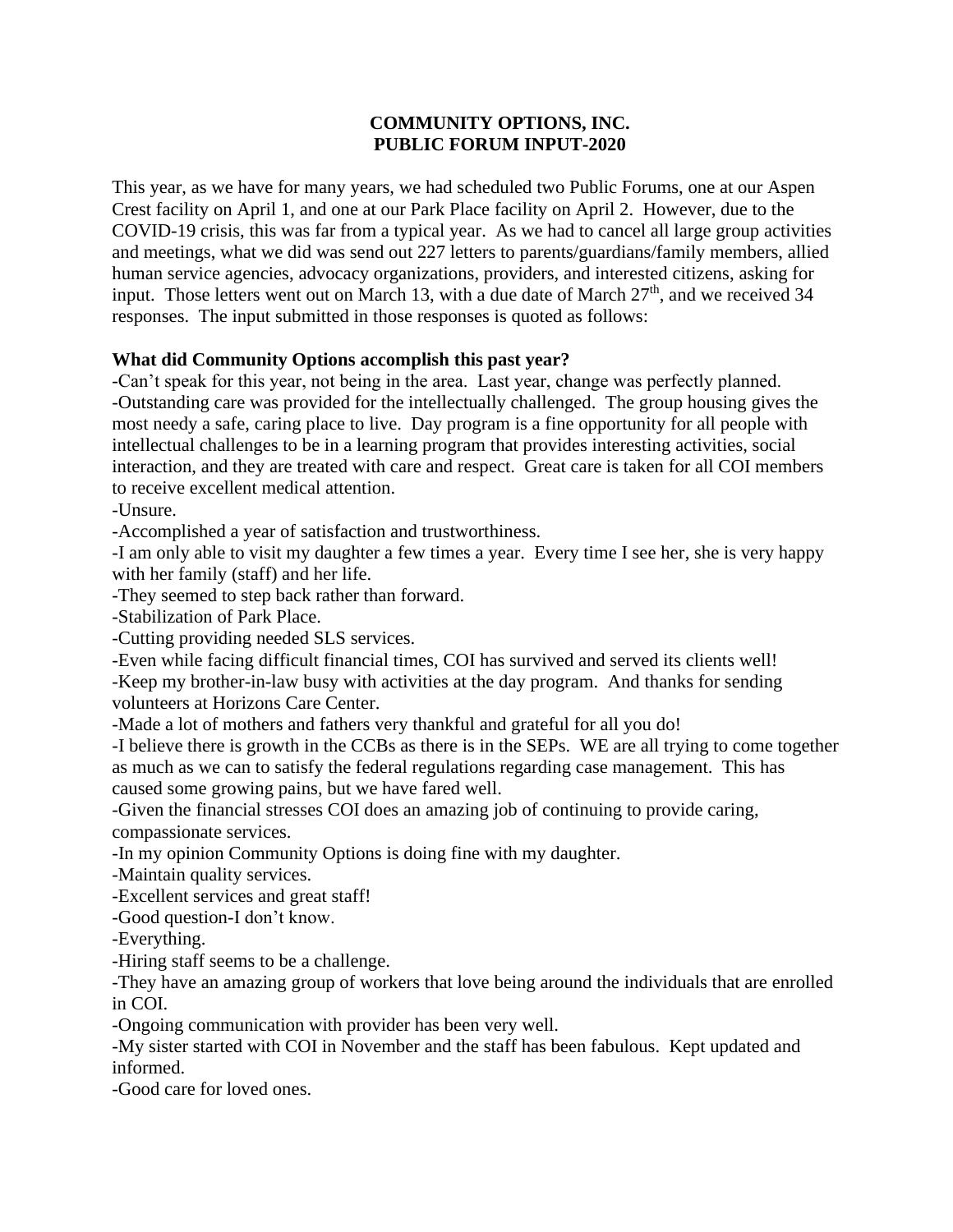## **COMMUNITY OPTIONS, INC. PUBLIC FORUM INPUT-2020**

This year, as we have for many years, we had scheduled two Public Forums, one at our Aspen Crest facility on April 1, and one at our Park Place facility on April 2. However, due to the COVID-19 crisis, this was far from a typical year. As we had to cancel all large group activities and meetings, what we did was send out 227 letters to parents/guardians/family members, allied human service agencies, advocacy organizations, providers, and interested citizens, asking for input. Those letters went out on March 13, with a due date of March  $27<sup>th</sup>$ , and we received 34 responses. The input submitted in those responses is quoted as follows:

## **What did Community Options accomplish this past year?**

-Can't speak for this year, not being in the area. Last year, change was perfectly planned. -Outstanding care was provided for the intellectually challenged. The group housing gives the most needy a safe, caring place to live. Day program is a fine opportunity for all people with intellectual challenges to be in a learning program that provides interesting activities, social interaction, and they are treated with care and respect. Great care is taken for all COI members to receive excellent medical attention.

-Unsure.

-Accomplished a year of satisfaction and trustworthiness.

-I am only able to visit my daughter a few times a year. Every time I see her, she is very happy with her family (staff) and her life.

-They seemed to step back rather than forward.

-Stabilization of Park Place.

-Cutting providing needed SLS services.

-Even while facing difficult financial times, COI has survived and served its clients well! -Keep my brother-in-law busy with activities at the day program. And thanks for sending volunteers at Horizons Care Center.

-Made a lot of mothers and fathers very thankful and grateful for all you do!

-I believe there is growth in the CCBs as there is in the SEPs. WE are all trying to come together as much as we can to satisfy the federal regulations regarding case management. This has caused some growing pains, but we have fared well.

-Given the financial stresses COI does an amazing job of continuing to provide caring, compassionate services.

-In my opinion Community Options is doing fine with my daughter.

-Maintain quality services.

-Excellent services and great staff!

-Good question-I don't know.

-Everything.

-Hiring staff seems to be a challenge.

-They have an amazing group of workers that love being around the individuals that are enrolled in COI.

-Ongoing communication with provider has been very well.

-My sister started with COI in November and the staff has been fabulous. Kept updated and informed.

-Good care for loved ones.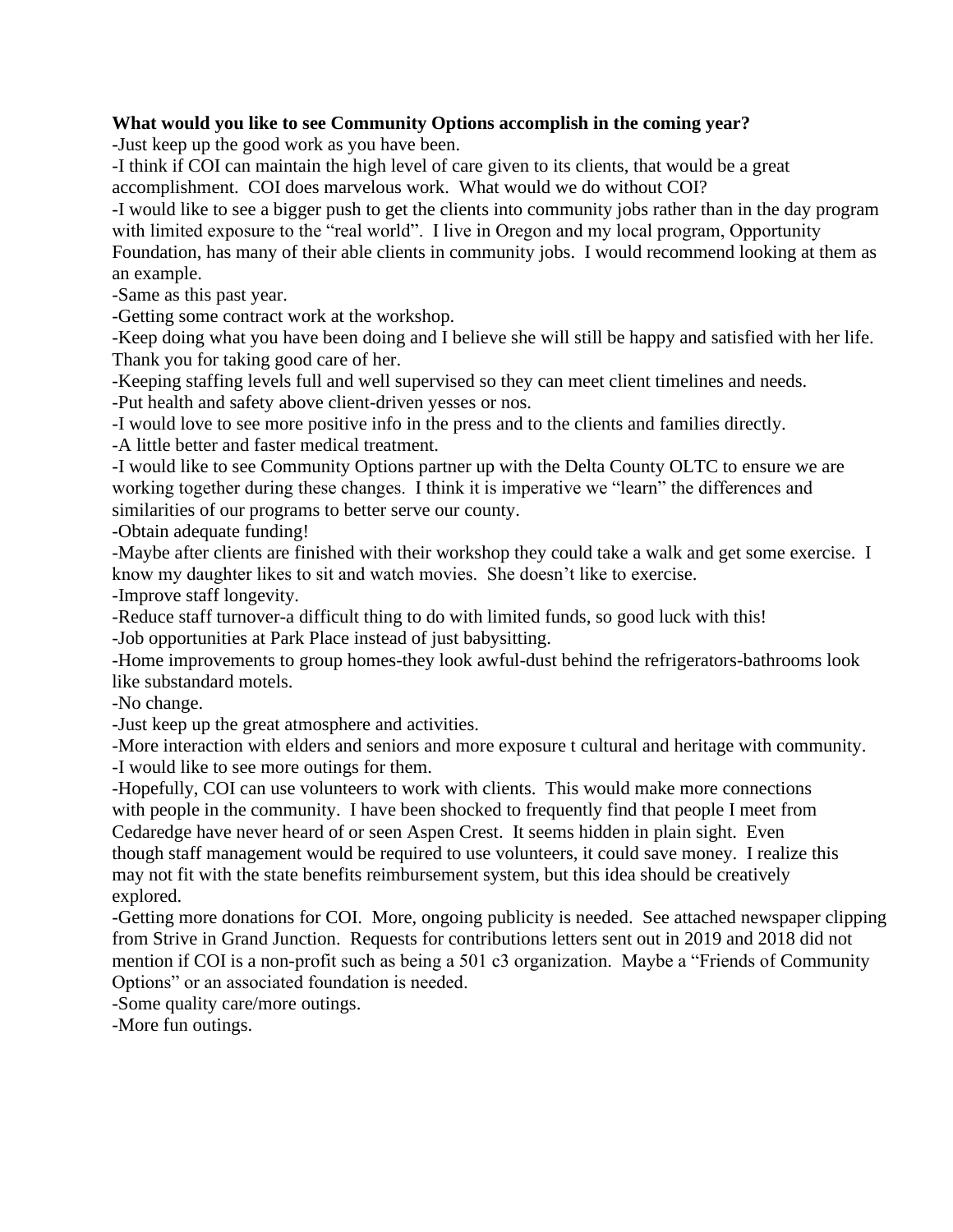## **What would you like to see Community Options accomplish in the coming year?**

-Just keep up the good work as you have been.

-I think if COI can maintain the high level of care given to its clients, that would be a great accomplishment. COI does marvelous work. What would we do without COI?

-I would like to see a bigger push to get the clients into community jobs rather than in the day program with limited exposure to the "real world". I live in Oregon and my local program, Opportunity Foundation, has many of their able clients in community jobs. I would recommend looking at them as an example.

-Same as this past year.

-Getting some contract work at the workshop.

-Keep doing what you have been doing and I believe she will still be happy and satisfied with her life. Thank you for taking good care of her.

-Keeping staffing levels full and well supervised so they can meet client timelines and needs. -Put health and safety above client-driven yesses or nos.

-I would love to see more positive info in the press and to the clients and families directly.

-A little better and faster medical treatment.

-I would like to see Community Options partner up with the Delta County OLTC to ensure we are working together during these changes. I think it is imperative we "learn" the differences and similarities of our programs to better serve our county.

-Obtain adequate funding!

-Maybe after clients are finished with their workshop they could take a walk and get some exercise. I know my daughter likes to sit and watch movies. She doesn't like to exercise.

-Improve staff longevity.

-Reduce staff turnover-a difficult thing to do with limited funds, so good luck with this!

-Job opportunities at Park Place instead of just babysitting.

-Home improvements to group homes-they look awful-dust behind the refrigerators-bathrooms look like substandard motels.

-No change.

-Just keep up the great atmosphere and activities.

-More interaction with elders and seniors and more exposure t cultural and heritage with community. -I would like to see more outings for them.

-Hopefully, COI can use volunteers to work with clients. This would make more connections with people in the community. I have been shocked to frequently find that people I meet from Cedaredge have never heard of or seen Aspen Crest. It seems hidden in plain sight. Even though staff management would be required to use volunteers, it could save money. I realize this may not fit with the state benefits reimbursement system, but this idea should be creatively explored.

-Getting more donations for COI. More, ongoing publicity is needed. See attached newspaper clipping from Strive in Grand Junction. Requests for contributions letters sent out in 2019 and 2018 did not mention if COI is a non-profit such as being a 501 c3 organization. Maybe a "Friends of Community Options" or an associated foundation is needed.

-Some quality care/more outings.

-More fun outings.